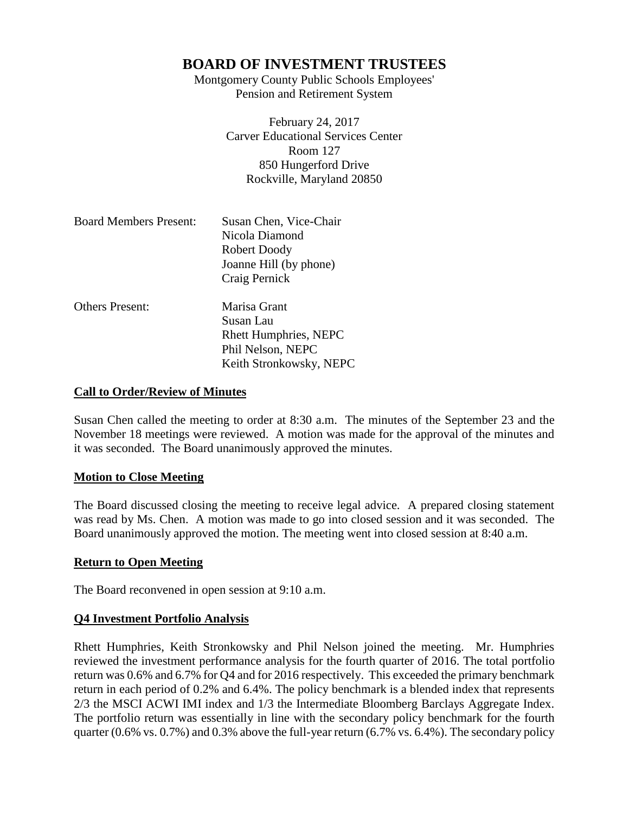Montgomery County Public Schools Employees' Pension and Retirement System

> February 24, 2017 Carver Educational Services Center Room 127 850 Hungerford Drive Rockville, Maryland 20850

| <b>Board Members Present:</b> | Susan Chen, Vice-Chair<br>Nicola Diamond<br>Robert Doody<br>Joanne Hill (by phone)<br>Craig Pernick       |
|-------------------------------|-----------------------------------------------------------------------------------------------------------|
| <b>Others Present:</b>        | Marisa Grant<br>Susan Lau<br><b>Rhett Humphries, NEPC</b><br>Phil Nelson, NEPC<br>Keith Stronkowsky, NEPC |

# **Call to Order/Review of Minutes**

Susan Chen called the meeting to order at 8:30 a.m. The minutes of the September 23 and the November 18 meetings were reviewed. A motion was made for the approval of the minutes and it was seconded. The Board unanimously approved the minutes.

# **Motion to Close Meeting**

The Board discussed closing the meeting to receive legal advice. A prepared closing statement was read by Ms. Chen. A motion was made to go into closed session and it was seconded. The Board unanimously approved the motion. The meeting went into closed session at 8:40 a.m.

# **Return to Open Meeting**

The Board reconvened in open session at 9:10 a.m.

# **Q4 Investment Portfolio Analysis**

Rhett Humphries, Keith Stronkowsky and Phil Nelson joined the meeting. Mr. Humphries reviewed the investment performance analysis for the fourth quarter of 2016. The total portfolio return was 0.6% and 6.7% for Q4 and for 2016 respectively. This exceeded the primary benchmark return in each period of 0.2% and 6.4%. The policy benchmark is a blended index that represents 2/3 the MSCI ACWI IMI index and 1/3 the Intermediate Bloomberg Barclays Aggregate Index. The portfolio return was essentially in line with the secondary policy benchmark for the fourth quarter (0.6% vs. 0.7%) and 0.3% above the full-year return (6.7% vs. 6.4%). The secondary policy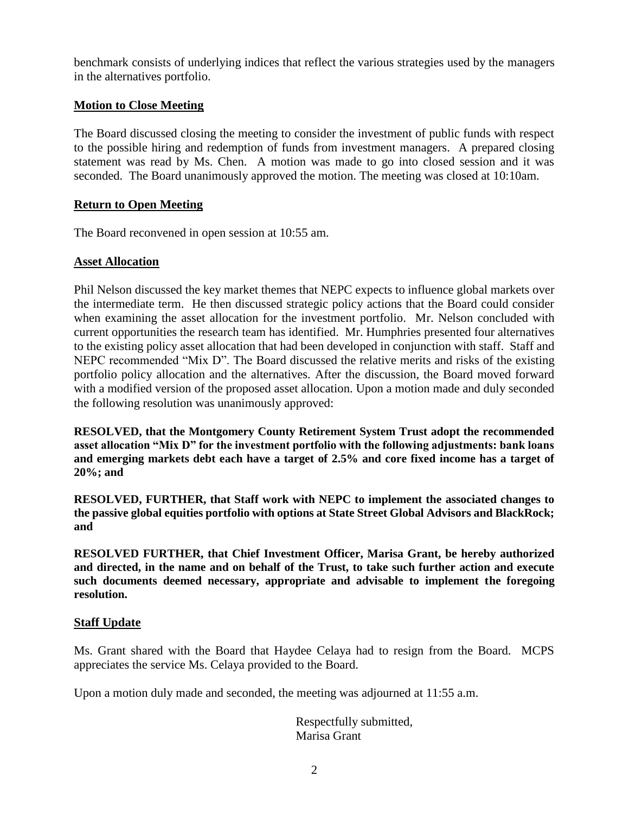benchmark consists of underlying indices that reflect the various strategies used by the managers in the alternatives portfolio.

# **Motion to Close Meeting**

The Board discussed closing the meeting to consider the investment of public funds with respect to the possible hiring and redemption of funds from investment managers. A prepared closing statement was read by Ms. Chen. A motion was made to go into closed session and it was seconded. The Board unanimously approved the motion. The meeting was closed at 10:10am.

# **Return to Open Meeting**

The Board reconvened in open session at 10:55 am.

# **Asset Allocation**

Phil Nelson discussed the key market themes that NEPC expects to influence global markets over the intermediate term. He then discussed strategic policy actions that the Board could consider when examining the asset allocation for the investment portfolio. Mr. Nelson concluded with current opportunities the research team has identified. Mr. Humphries presented four alternatives to the existing policy asset allocation that had been developed in conjunction with staff. Staff and NEPC recommended "Mix D". The Board discussed the relative merits and risks of the existing portfolio policy allocation and the alternatives. After the discussion, the Board moved forward with a modified version of the proposed asset allocation. Upon a motion made and duly seconded the following resolution was unanimously approved:

**RESOLVED, that the Montgomery County Retirement System Trust adopt the recommended asset allocation "Mix D" for the investment portfolio with the following adjustments: bank loans and emerging markets debt each have a target of 2.5% and core fixed income has a target of 20%; and**

**RESOLVED, FURTHER, that Staff work with NEPC to implement the associated changes to the passive global equities portfolio with options at State Street Global Advisors and BlackRock; and**

**RESOLVED FURTHER, that Chief Investment Officer, Marisa Grant, be hereby authorized and directed, in the name and on behalf of the Trust, to take such further action and execute such documents deemed necessary, appropriate and advisable to implement the foregoing resolution.**

# **Staff Update**

Ms. Grant shared with the Board that Haydee Celaya had to resign from the Board. MCPS appreciates the service Ms. Celaya provided to the Board.

Upon a motion duly made and seconded, the meeting was adjourned at 11:55 a.m.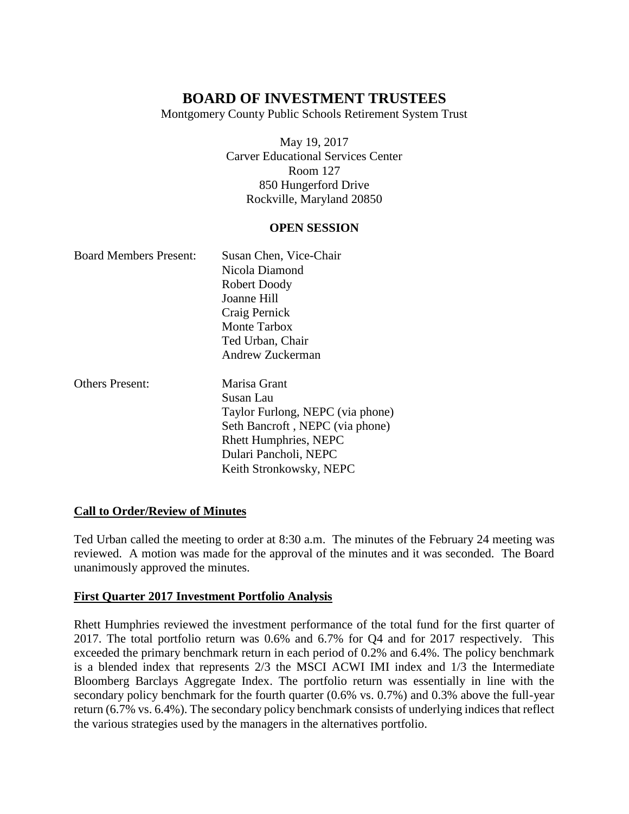Montgomery County Public Schools Retirement System Trust

May 19, 2017 Carver Educational Services Center Room 127 850 Hungerford Drive Rockville, Maryland 20850

# **OPEN SESSION**

| <b>Board Members Present:</b> | Susan Chen, Vice-Chair           |
|-------------------------------|----------------------------------|
|                               | Nicola Diamond                   |
|                               | Robert Doody                     |
|                               | Joanne Hill                      |
|                               | Craig Pernick                    |
|                               | Monte Tarbox                     |
|                               | Ted Urban, Chair                 |
|                               | Andrew Zuckerman                 |
| <b>Others Present:</b>        | Marisa Grant                     |
|                               | Susan Lau                        |
|                               | Taylor Furlong, NEPC (via phone) |
|                               | Seth Bancroft, NEPC (via phone)  |
|                               | <b>Rhett Humphries, NEPC</b>     |
|                               | Dulari Pancholi, NEPC            |
|                               | Keith Stronkowsky, NEPC          |

# **Call to Order/Review of Minutes**

Ted Urban called the meeting to order at 8:30 a.m. The minutes of the February 24 meeting was reviewed. A motion was made for the approval of the minutes and it was seconded. The Board unanimously approved the minutes.

# **First Quarter 2017 Investment Portfolio Analysis**

Rhett Humphries reviewed the investment performance of the total fund for the first quarter of 2017. The total portfolio return was 0.6% and 6.7% for Q4 and for 2017 respectively. This exceeded the primary benchmark return in each period of 0.2% and 6.4%. The policy benchmark is a blended index that represents 2/3 the MSCI ACWI IMI index and 1/3 the Intermediate Bloomberg Barclays Aggregate Index. The portfolio return was essentially in line with the secondary policy benchmark for the fourth quarter (0.6% vs. 0.7%) and 0.3% above the full-year return (6.7% vs. 6.4%). The secondary policy benchmark consists of underlying indices that reflect the various strategies used by the managers in the alternatives portfolio.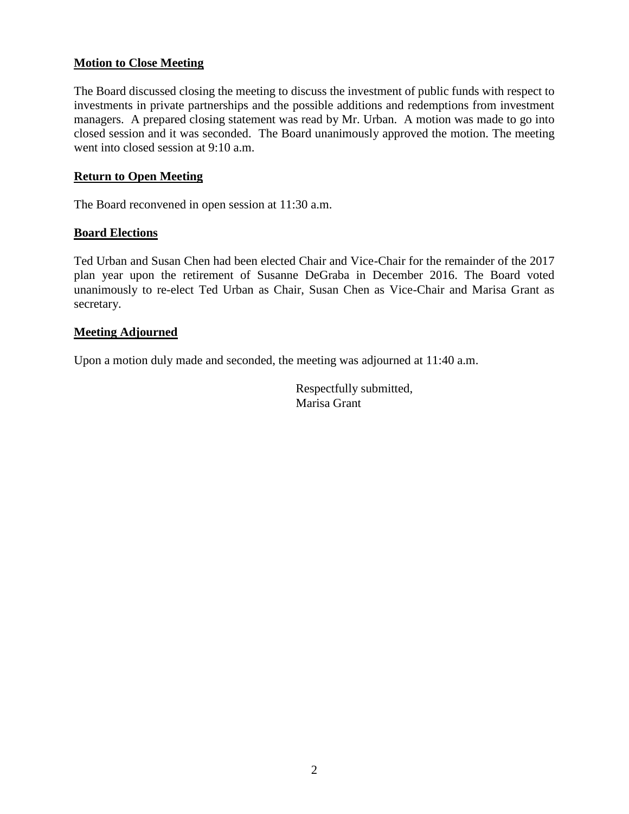# **Motion to Close Meeting**

The Board discussed closing the meeting to discuss the investment of public funds with respect to investments in private partnerships and the possible additions and redemptions from investment managers. A prepared closing statement was read by Mr. Urban. A motion was made to go into closed session and it was seconded. The Board unanimously approved the motion. The meeting went into closed session at 9:10 a.m.

# **Return to Open Meeting**

The Board reconvened in open session at 11:30 a.m.

#### **Board Elections**

Ted Urban and Susan Chen had been elected Chair and Vice-Chair for the remainder of the 2017 plan year upon the retirement of Susanne DeGraba in December 2016. The Board voted unanimously to re-elect Ted Urban as Chair, Susan Chen as Vice-Chair and Marisa Grant as secretary.

#### **Meeting Adjourned**

Upon a motion duly made and seconded, the meeting was adjourned at 11:40 a.m.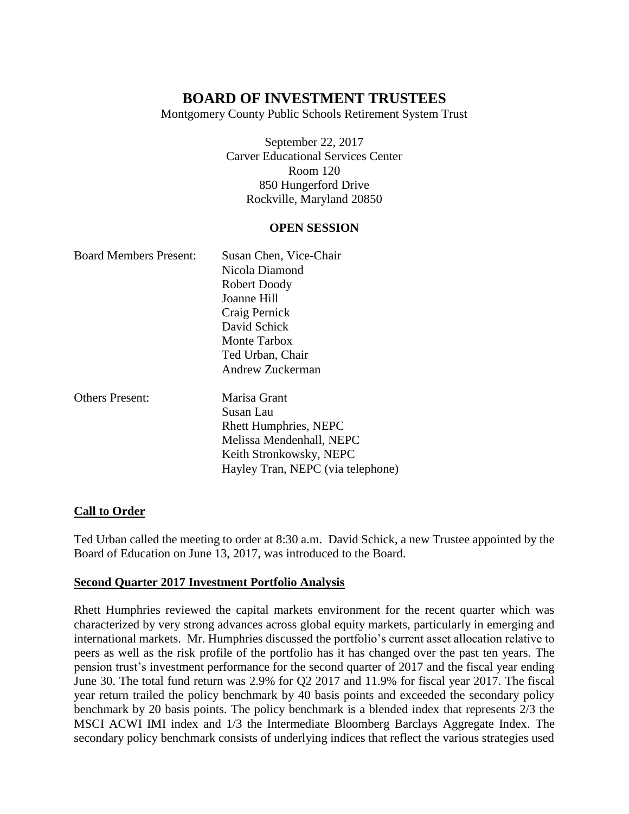Montgomery County Public Schools Retirement System Trust

September 22, 2017 Carver Educational Services Center Room 120 850 Hungerford Drive Rockville, Maryland 20850

#### **OPEN SESSION**

| <b>Board Members Present:</b> | Susan Chen, Vice-Chair       |
|-------------------------------|------------------------------|
|                               | Nicola Diamond               |
|                               | Robert Doody                 |
|                               | Joanne Hill                  |
|                               | Craig Pernick                |
|                               | David Schick                 |
|                               | Monte Tarbox                 |
|                               | Ted Urban, Chair             |
|                               | Andrew Zuckerman             |
| <b>Others Present:</b>        | Marisa Grant                 |
|                               | Susan Lau                    |
|                               | <b>Rhett Humphries, NEPC</b> |
|                               | Melissa Mendenhall, NEPC     |
|                               | Keith Stronkowsky, NEPC      |

# **Call to Order**

Ted Urban called the meeting to order at 8:30 a.m. David Schick, a new Trustee appointed by the Board of Education on June 13, 2017, was introduced to the Board.

Hayley Tran, NEPC (via telephone)

#### **Second Quarter 2017 Investment Portfolio Analysis**

Rhett Humphries reviewed the capital markets environment for the recent quarter which was characterized by very strong advances across global equity markets, particularly in emerging and international markets. Mr. Humphries discussed the portfolio's current asset allocation relative to peers as well as the risk profile of the portfolio has it has changed over the past ten years. The pension trust's investment performance for the second quarter of 2017 and the fiscal year ending June 30. The total fund return was 2.9% for Q2 2017 and 11.9% for fiscal year 2017. The fiscal year return trailed the policy benchmark by 40 basis points and exceeded the secondary policy benchmark by 20 basis points. The policy benchmark is a blended index that represents 2/3 the MSCI ACWI IMI index and 1/3 the Intermediate Bloomberg Barclays Aggregate Index. The secondary policy benchmark consists of underlying indices that reflect the various strategies used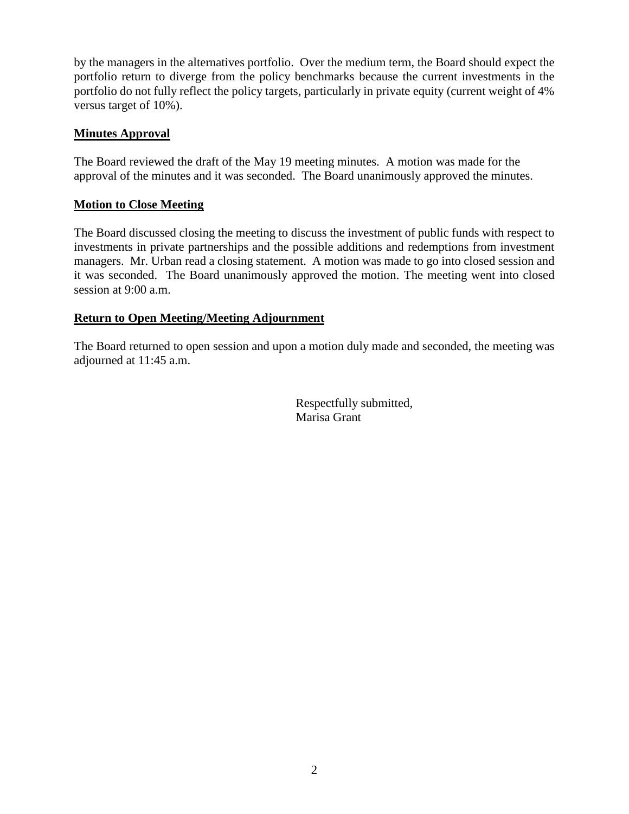by the managers in the alternatives portfolio. Over the medium term, the Board should expect the portfolio return to diverge from the policy benchmarks because the current investments in the portfolio do not fully reflect the policy targets, particularly in private equity (current weight of 4% versus target of 10%).

# **Minutes Approval**

The Board reviewed the draft of the May 19 meeting minutes. A motion was made for the approval of the minutes and it was seconded. The Board unanimously approved the minutes.

# **Motion to Close Meeting**

The Board discussed closing the meeting to discuss the investment of public funds with respect to investments in private partnerships and the possible additions and redemptions from investment managers. Mr. Urban read a closing statement. A motion was made to go into closed session and it was seconded. The Board unanimously approved the motion. The meeting went into closed session at 9:00 a.m.

# **Return to Open Meeting/Meeting Adjournment**

The Board returned to open session and upon a motion duly made and seconded, the meeting was adjourned at 11:45 a.m.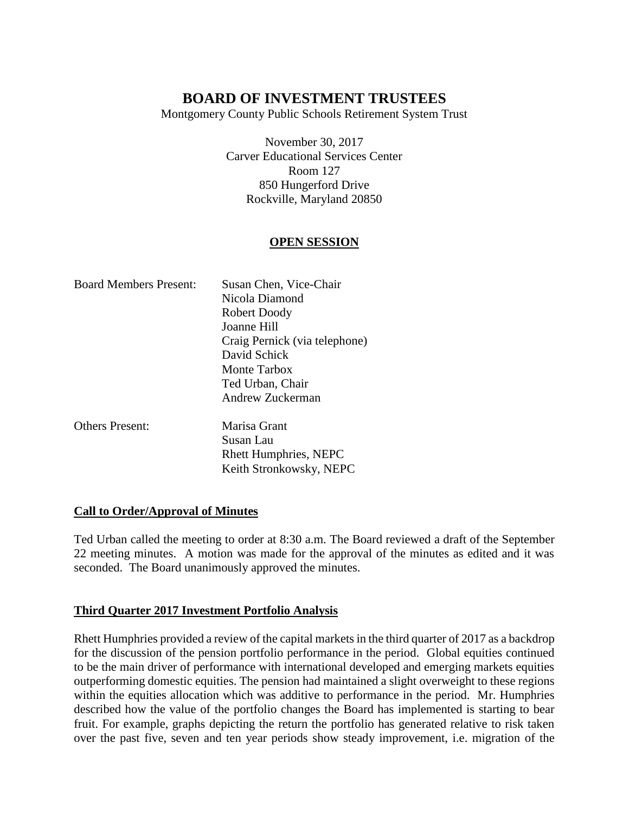Montgomery County Public Schools Retirement System Trust

November 30, 2017 Carver Educational Services Center Room 127 850 Hungerford Drive Rockville, Maryland 20850

# **OPEN SESSION**

| <b>Board Members Present:</b> | Susan Chen, Vice-Chair        |
|-------------------------------|-------------------------------|
|                               | Nicola Diamond                |
|                               | Robert Doody                  |
|                               | Joanne Hill                   |
|                               | Craig Pernick (via telephone) |
|                               | David Schick                  |
|                               | Monte Tarbox                  |
|                               | Ted Urban, Chair              |
|                               | Andrew Zuckerman              |
|                               |                               |

Others Present: Marisa Grant Susan Lau Rhett Humphries, NEPC Keith Stronkowsky, NEPC

# **Call to Order/Approval of Minutes**

Ted Urban called the meeting to order at 8:30 a.m. The Board reviewed a draft of the September 22 meeting minutes. A motion was made for the approval of the minutes as edited and it was seconded. The Board unanimously approved the minutes.

# **Third Quarter 2017 Investment Portfolio Analysis**

Rhett Humphries provided a review of the capital markets in the third quarter of 2017 as a backdrop for the discussion of the pension portfolio performance in the period. Global equities continued to be the main driver of performance with international developed and emerging markets equities outperforming domestic equities. The pension had maintained a slight overweight to these regions within the equities allocation which was additive to performance in the period. Mr. Humphries described how the value of the portfolio changes the Board has implemented is starting to bear fruit. For example, graphs depicting the return the portfolio has generated relative to risk taken over the past five, seven and ten year periods show steady improvement, i.e. migration of the